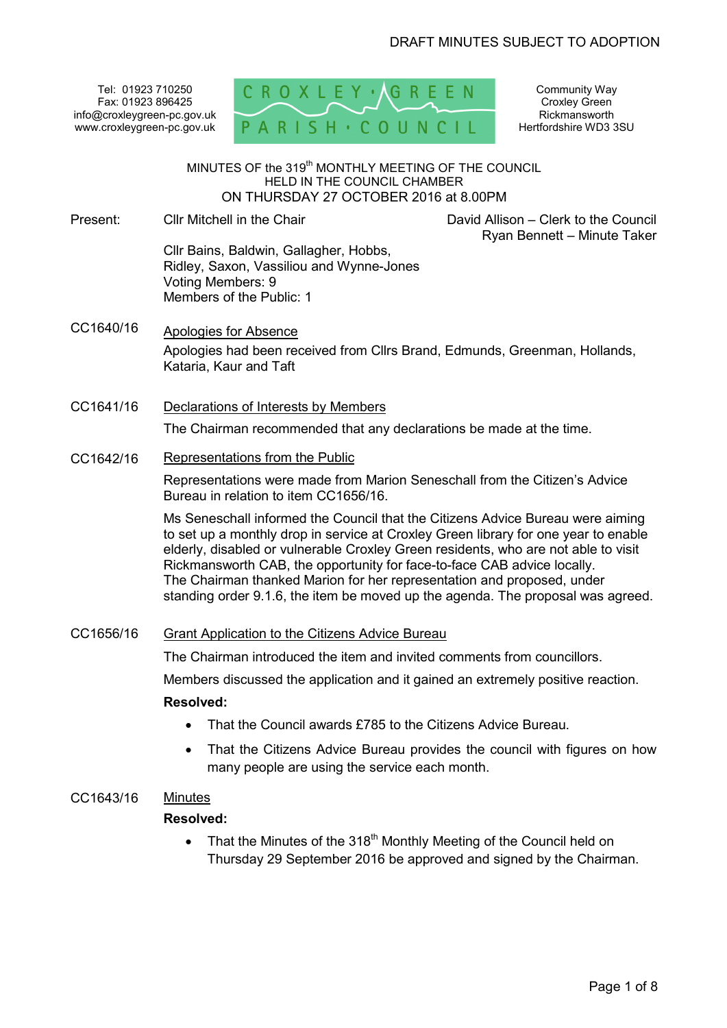Tel: 01923 710250 Fax: 01923 896425 info@croxleygreen-pc.gov.uk www.croxleygreen-pc.gov.uk



Community Way Croxley Green Rickmansworth Hertfordshire WD3 3SU

 David Allison – Clerk to the Council Ryan Bennett – Minute Taker

MINUTES OF the 319<sup>th</sup> MONTHLY MEETING OF THE COUNCIL HELD IN THE COUNCIL CHAMBER ON THURSDAY 27 OCTOBER 2016 at 8.00PM ľ

- Present: Cllr Mitchell in the Chair Cllr Bains, Baldwin, Gallagher, Hobbs, Ridley, Saxon, Vassiliou and Wynne-Jones Voting Members: 9 Members of the Public: 1
- CC1640/16 Apologies for Absence Apologies had been received from Cllrs Brand, Edmunds, Greenman, Hollands, Kataria, Kaur and Taft
- CC1641/16 Declarations of Interests by Members The Chairman recommended that any declarations be made at the time.
- CC1642/16 Representations from the Public

Representations were made from Marion Seneschall from the Citizen's Advice Bureau in relation to item CC1656/16.

Ms Seneschall informed the Council that the Citizens Advice Bureau were aiming to set up a monthly drop in service at Croxley Green library for one year to enable elderly, disabled or vulnerable Croxley Green residents, who are not able to visit Rickmansworth CAB, the opportunity for face-to-face CAB advice locally. The Chairman thanked Marion for her representation and proposed, under standing order 9.1.6, the item be moved up the agenda. The proposal was agreed.

# CC1656/16 Grant Application to the Citizens Advice Bureau

The Chairman introduced the item and invited comments from councillors.

Members discussed the application and it gained an extremely positive reaction.

# **Resolved:**

- That the Council awards £785 to the Citizens Advice Bureau.
- That the Citizens Advice Bureau provides the council with figures on how many people are using the service each month.
- CC1643/16 Minutes

# **Resolved:**

• That the Minutes of the  $318<sup>th</sup>$  Monthly Meeting of the Council held on Thursday 29 September 2016 be approved and signed by the Chairman.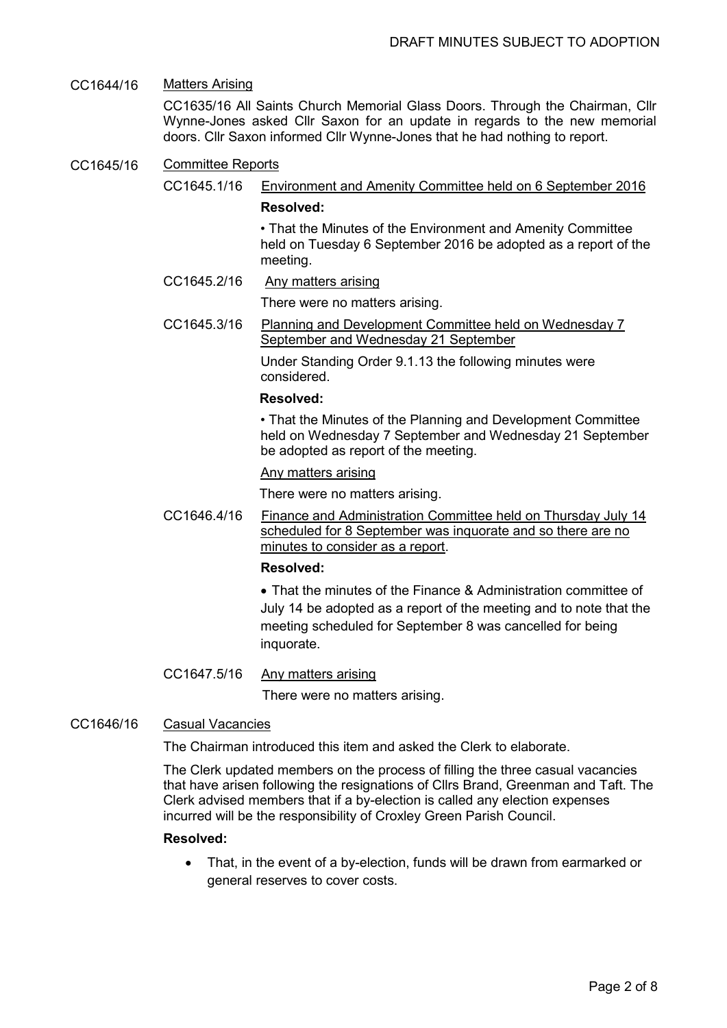# CC1644/16 Matters Arising

CC1635/16 All Saints Church Memorial Glass Doors. Through the Chairman, Cllr Wynne-Jones asked Cllr Saxon for an update in regards to the new memorial doors. Cllr Saxon informed Cllr Wynne-Jones that he had nothing to report.

### CC1645/16 Committee Reports

CC1645.1/16 Environment and Amenity Committee held on 6 September 2016

## **Resolved:**

 • That the Minutes of the Environment and Amenity Committee held on Tuesday 6 September 2016 be adopted as a report of the meeting.

CC1645.2/16 Any matters arising

There were no matters arising.

CC1645.3/16 Planning and Development Committee held on Wednesday 7 September and Wednesday 21 September

> Under Standing Order 9.1.13 the following minutes were considered.

# **Resolved:**

 • That the Minutes of the Planning and Development Committee held on Wednesday 7 September and Wednesday 21 September be adopted as report of the meeting.

#### Any matters arising

There were no matters arising.

CC1646.4/16 Finance and Administration Committee held on Thursday July 14 scheduled for 8 September was inquorate and so there are no minutes to consider as a report.

# **Resolved:**

• That the minutes of the Finance & Administration committee of July 14 be adopted as a report of the meeting and to note that the meeting scheduled for September 8 was cancelled for being inquorate.

# CC1647.5/16 Any matters arising

There were no matters arising.

# CC1646/16 Casual Vacancies

The Chairman introduced this item and asked the Clerk to elaborate.

The Clerk updated members on the process of filling the three casual vacancies that have arisen following the resignations of Cllrs Brand, Greenman and Taft. The Clerk advised members that if a by-election is called any election expenses incurred will be the responsibility of Croxley Green Parish Council.

#### **Resolved:**

• That, in the event of a by-election, funds will be drawn from earmarked or general reserves to cover costs.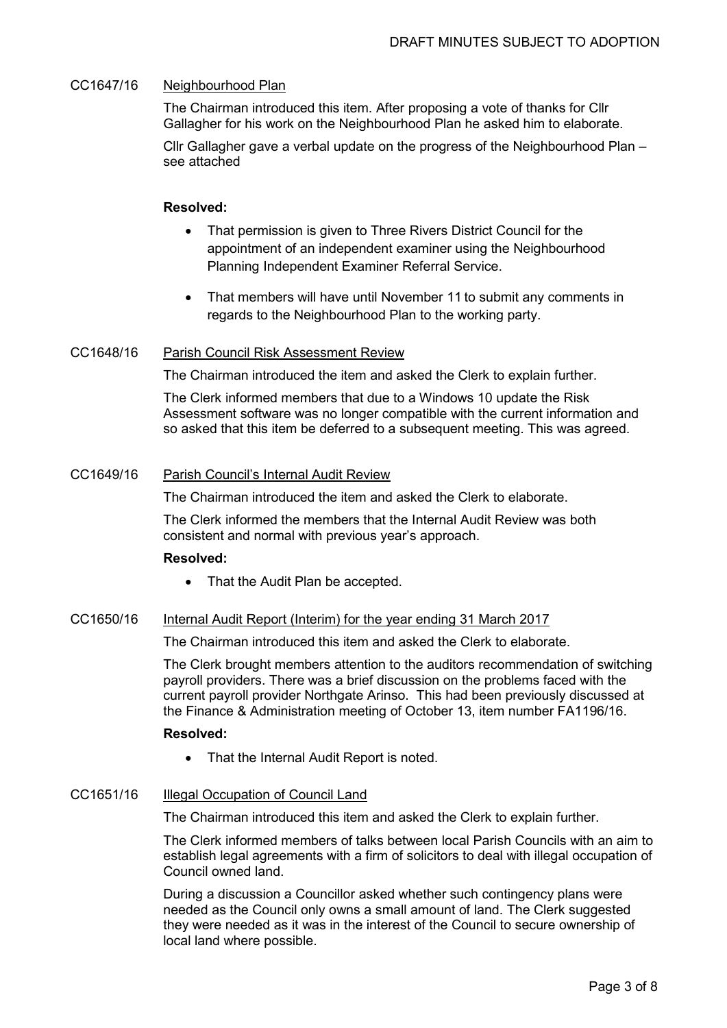# CC1647/16 Neighbourhood Plan

The Chairman introduced this item. After proposing a vote of thanks for Cllr Gallagher for his work on the Neighbourhood Plan he asked him to elaborate.

Cllr Gallagher gave a verbal update on the progress of the Neighbourhood Plan – see attached

# **Resolved:**

- That permission is given to Three Rivers District Council for the appointment of an independent examiner using the Neighbourhood Planning Independent Examiner Referral Service.
- That members will have until November 11 to submit any comments in regards to the Neighbourhood Plan to the working party.

# CC1648/16 Parish Council Risk Assessment Review

The Chairman introduced the item and asked the Clerk to explain further.

The Clerk informed members that due to a Windows 10 update the Risk Assessment software was no longer compatible with the current information and so asked that this item be deferred to a subsequent meeting. This was agreed.

# CC1649/16 Parish Council's Internal Audit Review

The Chairman introduced the item and asked the Clerk to elaborate.

The Clerk informed the members that the Internal Audit Review was both consistent and normal with previous year's approach.

# **Resolved:**

• That the Audit Plan be accepted.

# CC1650/16 Internal Audit Report (Interim) for the year ending 31 March 2017

The Chairman introduced this item and asked the Clerk to elaborate.

The Clerk brought members attention to the auditors recommendation of switching payroll providers. There was a brief discussion on the problems faced with the current payroll provider Northgate Arinso. This had been previously discussed at the Finance & Administration meeting of October 13, item number FA1196/16.

# **Resolved:**

• That the Internal Audit Report is noted.

# CC1651/16 Illegal Occupation of Council Land

The Chairman introduced this item and asked the Clerk to explain further.

The Clerk informed members of talks between local Parish Councils with an aim to establish legal agreements with a firm of solicitors to deal with illegal occupation of Council owned land.

During a discussion a Councillor asked whether such contingency plans were needed as the Council only owns a small amount of land. The Clerk suggested they were needed as it was in the interest of the Council to secure ownership of local land where possible.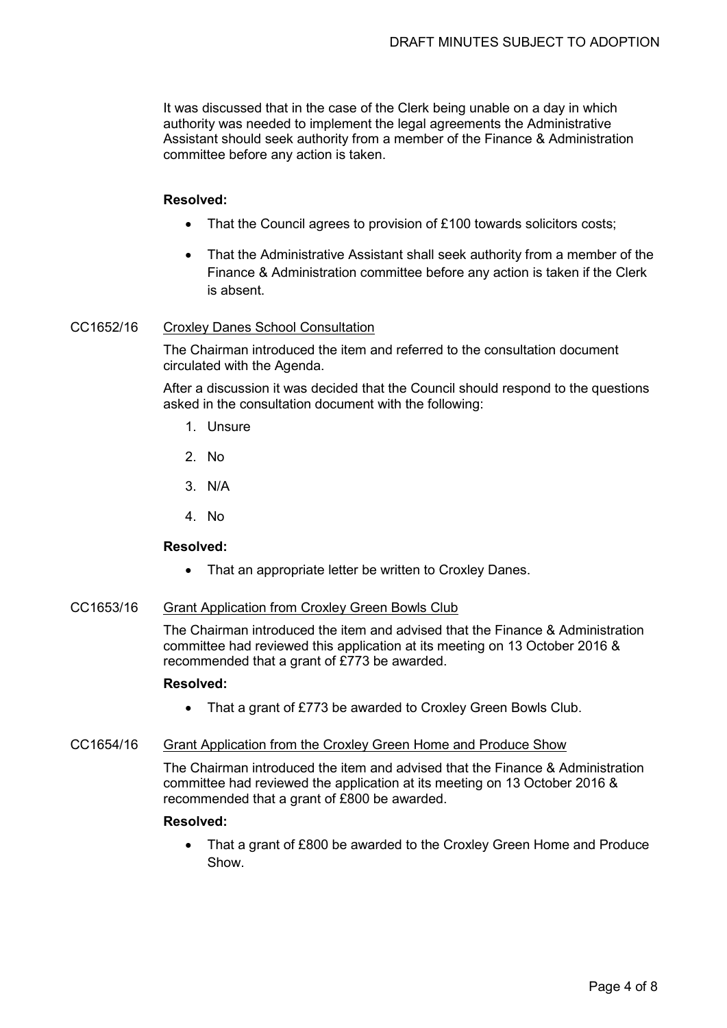It was discussed that in the case of the Clerk being unable on a day in which authority was needed to implement the legal agreements the Administrative Assistant should seek authority from a member of the Finance & Administration committee before any action is taken.

### **Resolved:**

- That the Council agrees to provision of £100 towards solicitors costs:
- That the Administrative Assistant shall seek authority from a member of the Finance & Administration committee before any action is taken if the Clerk is absent.

# CC1652/16 Croxley Danes School Consultation

The Chairman introduced the item and referred to the consultation document circulated with the Agenda.

After a discussion it was decided that the Council should respond to the questions asked in the consultation document with the following:

- 1. Unsure
- 2. No
- 3. N/A
- 4. No

### **Resolved:**

• That an appropriate letter be written to Croxley Danes.

# CC1653/16 Grant Application from Croxley Green Bowls Club

The Chairman introduced the item and advised that the Finance & Administration committee had reviewed this application at its meeting on 13 October 2016 & recommended that a grant of £773 be awarded.

#### **Resolved:**

• That a grant of £773 be awarded to Croxley Green Bowls Club.

# CC1654/16 Grant Application from the Croxley Green Home and Produce Show

The Chairman introduced the item and advised that the Finance & Administration committee had reviewed the application at its meeting on 13 October 2016 & recommended that a grant of £800 be awarded.

## **Resolved:**

• That a grant of £800 be awarded to the Croxley Green Home and Produce Show.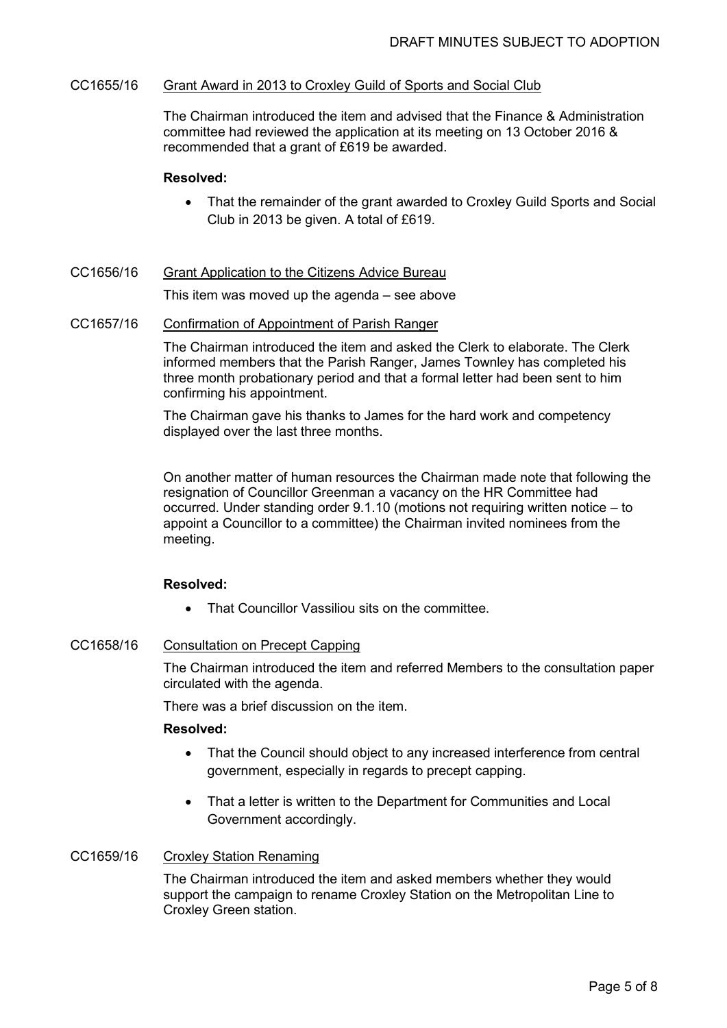### CC1655/16 Grant Award in 2013 to Croxley Guild of Sports and Social Club

The Chairman introduced the item and advised that the Finance & Administration committee had reviewed the application at its meeting on 13 October 2016 & recommended that a grant of £619 be awarded.

### **Resolved:**

- That the remainder of the grant awarded to Croxley Guild Sports and Social Club in 2013 be given. A total of £619.
- CC1656/16 Grant Application to the Citizens Advice Bureau

This item was moved up the agenda – see above

### CC1657/16 Confirmation of Appointment of Parish Ranger

The Chairman introduced the item and asked the Clerk to elaborate. The Clerk informed members that the Parish Ranger, James Townley has completed his three month probationary period and that a formal letter had been sent to him confirming his appointment.

The Chairman gave his thanks to James for the hard work and competency displayed over the last three months.

 On another matter of human resources the Chairman made note that following the resignation of Councillor Greenman a vacancy on the HR Committee had occurred. Under standing order 9.1.10 (motions not requiring written notice – to appoint a Councillor to a committee) the Chairman invited nominees from the meeting.

# **Resolved:**

• That Councillor Vassiliou sits on the committee

# CC1658/16 Consultation on Precept Capping

The Chairman introduced the item and referred Members to the consultation paper circulated with the agenda.

There was a brief discussion on the item.

#### **Resolved:**

- That the Council should object to any increased interference from central government, especially in regards to precept capping.
- That a letter is written to the Department for Communities and Local Government accordingly.

# CC1659/16 Croxley Station Renaming

The Chairman introduced the item and asked members whether they would support the campaign to rename Croxley Station on the Metropolitan Line to Croxley Green station.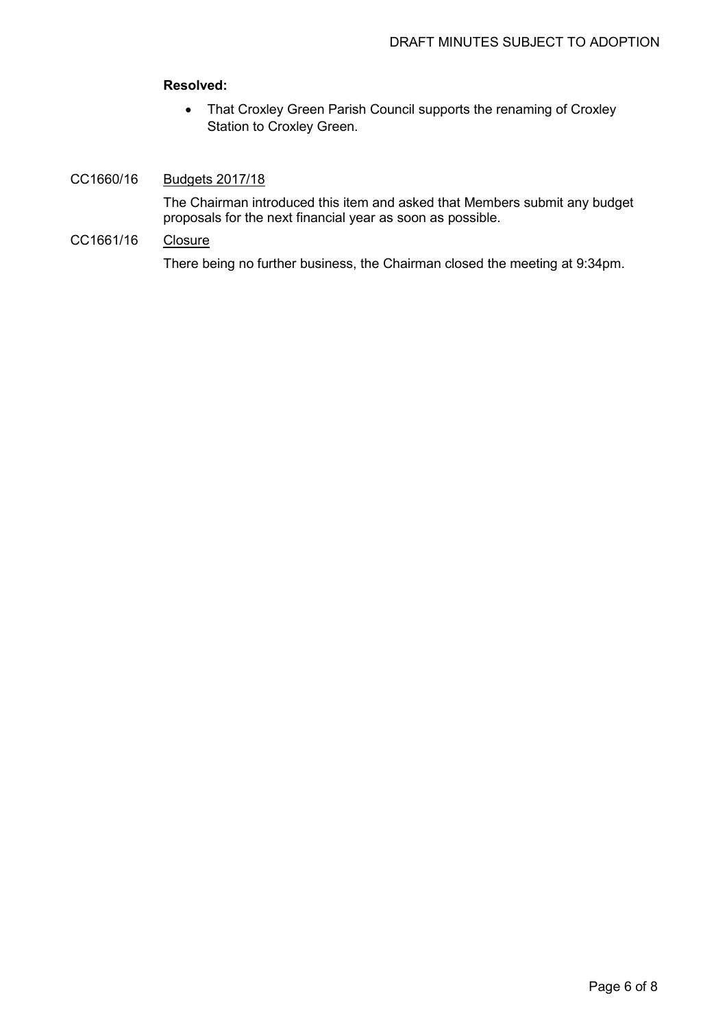# **Resolved:**

• That Croxley Green Parish Council supports the renaming of Croxley Station to Croxley Green.

# CC1660/16 Budgets 2017/18

The Chairman introduced this item and asked that Members submit any budget proposals for the next financial year as soon as possible.

# CC1661/16 Closure

There being no further business, the Chairman closed the meeting at 9:34pm.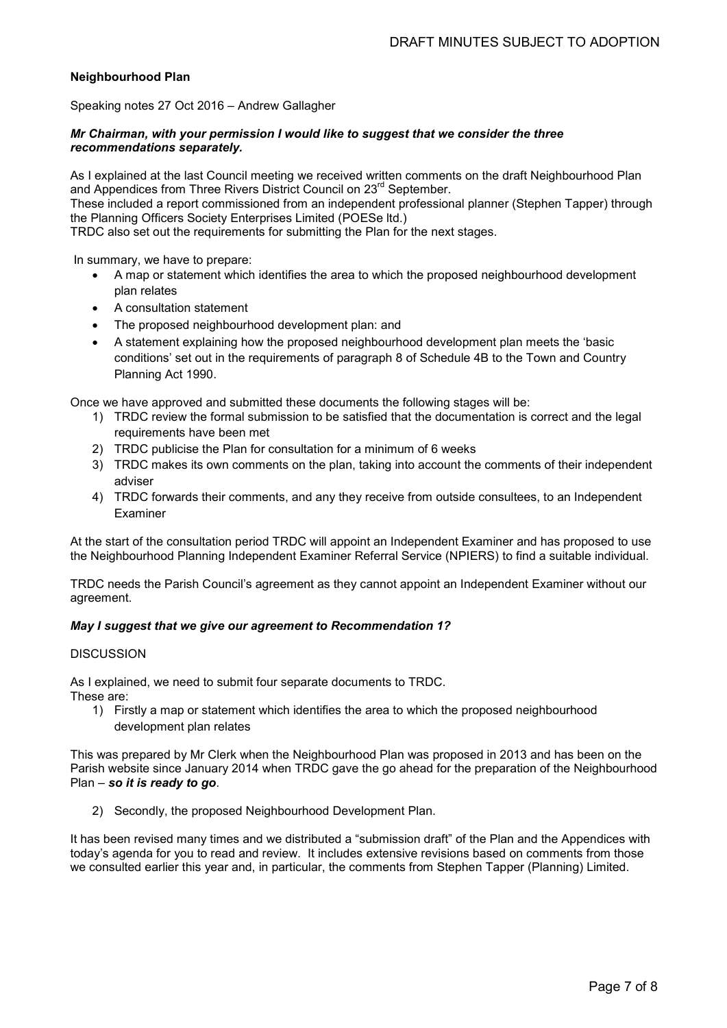### **Neighbourhood Plan**

Speaking notes 27 Oct 2016 – Andrew Gallagher

#### *Mr Chairman, with your permission I would like to suggest that we consider the three recommendations separately.*

As I explained at the last Council meeting we received written comments on the draft Neighbourhood Plan and Appendices from Three Rivers District Council on 23<sup>rd</sup> September.

These included a report commissioned from an independent professional planner (Stephen Tapper) through the Planning Officers Society Enterprises Limited (POESe ltd.)

TRDC also set out the requirements for submitting the Plan for the next stages.

In summary, we have to prepare:

- A map or statement which identifies the area to which the proposed neighbourhood development plan relates
- A consultation statement
- The proposed neighbourhood development plan: and
- A statement explaining how the proposed neighbourhood development plan meets the 'basic conditions' set out in the requirements of paragraph 8 of Schedule 4B to the Town and Country Planning Act 1990.

Once we have approved and submitted these documents the following stages will be:

- 1) TRDC review the formal submission to be satisfied that the documentation is correct and the legal requirements have been met
- 2) TRDC publicise the Plan for consultation for a minimum of 6 weeks
- 3) TRDC makes its own comments on the plan, taking into account the comments of their independent adviser
- 4) TRDC forwards their comments, and any they receive from outside consultees, to an Independent Examiner

At the start of the consultation period TRDC will appoint an Independent Examiner and has proposed to use the Neighbourhood Planning Independent Examiner Referral Service (NPIERS) to find a suitable individual.

TRDC needs the Parish Council's agreement as they cannot appoint an Independent Examiner without our agreement.

#### *May I suggest that we give our agreement to Recommendation 1?*

#### **DISCUSSION**

As I explained, we need to submit four separate documents to TRDC. These are:

1) Firstly a map or statement which identifies the area to which the proposed neighbourhood development plan relates

This was prepared by Mr Clerk when the Neighbourhood Plan was proposed in 2013 and has been on the Parish website since January 2014 when TRDC gave the go ahead for the preparation of the Neighbourhood Plan – *so it is ready to go*.

2) Secondly, the proposed Neighbourhood Development Plan.

It has been revised many times and we distributed a "submission draft" of the Plan and the Appendices with today's agenda for you to read and review. It includes extensive revisions based on comments from those we consulted earlier this year and, in particular, the comments from Stephen Tapper (Planning) Limited.